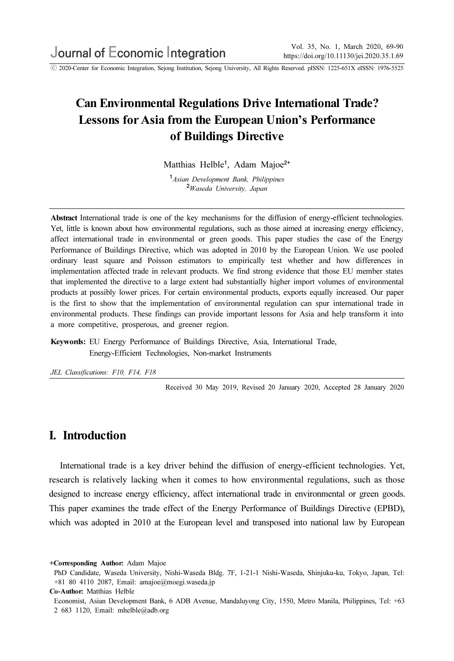ⓒ 2020-Center for Economic Integration, Sejong Institution, Sejong University, All Rights Reserved. pISSN: 1225-651X eISSN: 1976-5525

# Can Environmental Regulations Drive International Trade? Lessons for Asia from the European Union's Performance of Buildings Directive

Matthias Helble<sup>1</sup>, Adam Majoe<sup>2+</sup>

<sup>1</sup> Asian Development Bank, Philippines <sup>2</sup>Waseda University, Japan

Abstract International trade is one of the key mechanisms for the diffusion of energy-efficient technologies. Yet, little is known about how environmental regulations, such as those aimed at increasing energy efficiency, affect international trade in environmental or green goods. This paper studies the case of the Energy Performance of Buildings Directive, which was adopted in 2010 by the European Union. We use pooled ordinary least square and Poisson estimators to empirically test whether and how differences in implementation affected trade in relevant products. We find strong evidence that those EU member states that implemented the directive to a large extent had substantially higher import volumes of environmental products at possibly lower prices. For certain environmental products, exports equally increased. Our paper is the first to show that the implementation of environmental regulation can spur international trade in environmental products. These findings can provide important lessons for Asia and help transform it into a more competitive, prosperous, and greener region.

Keywords: EU Energy Performance of Buildings Directive, Asia, International Trade, Energy-Efficient Technologies, Non-market Instruments

JEL Classifications: F10, F14, F18

Received 30 May 2019, Revised 20 January 2020, Accepted 28 January 2020

### I. Introduction

International trade is a key driver behind the diffusion of energy-efficient technologies. Yet, research is relatively lacking when it comes to how environmental regulations, such as those designed to increase energy efficiency, affect international trade in environmental or green goods. This paper examines the trade effect of the Energy Performance of Buildings Directive (EPBD), which was adopted in 2010 at the European level and transposed into national law by European

<sup>+</sup>Corresponding Author: Adam Majoe

PhD Candidate, Waseda University, Nishi-Waseda Bldg. 7F, 1-21-1 Nishi-Waseda, Shinjuku-ku, Tokyo, Japan, Tel: +81 80 4110 2087, Email: amajoe@moegi.waseda.jp

Co-Author: Matthias Helble

Economist, Asian Development Bank, 6 ADB Avenue, Mandaluyong City, 1550, Metro Manila, Philippines, Tel: +63 2 683 1120, Email: mhelble@adb.org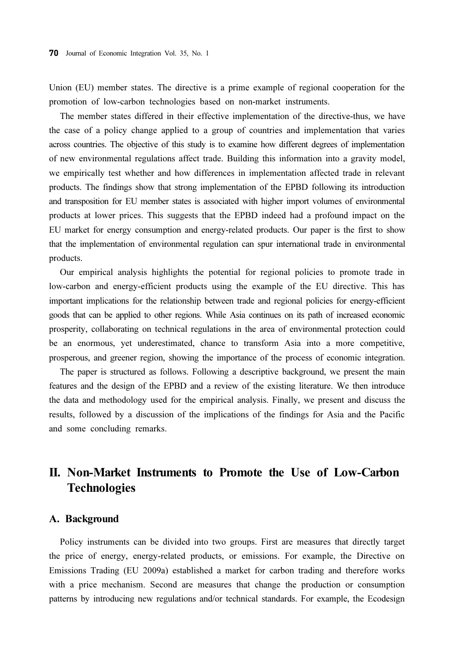Union (EU) member states. The directive is a prime example of regional cooperation for the promotion of low-carbon technologies based on non-market instruments.

The member states differed in their effective implementation of the directive-thus, we have the case of a policy change applied to a group of countries and implementation that varies across countries. The objective of this study is to examine how different degrees of implementation of new environmental regulations affect trade. Building this information into a gravity model, we empirically test whether and how differences in implementation affected trade in relevant products. The findings show that strong implementation of the EPBD following its introduction and transposition for EU member states is associated with higher import volumes of environmental products at lower prices. This suggests that the EPBD indeed had a profound impact on the EU market for energy consumption and energy-related products. Our paper is the first to show that the implementation of environmental regulation can spur international trade in environmental products.

Our empirical analysis highlights the potential for regional policies to promote trade in low-carbon and energy-efficient products using the example of the EU directive. This has important implications for the relationship between trade and regional policies for energy-efficient goods that can be applied to other regions. While Asia continues on its path of increased economic prosperity, collaborating on technical regulations in the area of environmental protection could be an enormous, yet underestimated, chance to transform Asia into a more competitive, prosperous, and greener region, showing the importance of the process of economic integration.

The paper is structured as follows. Following a descriptive background, we present the main features and the design of the EPBD and a review of the existing literature. We then introduce the data and methodology used for the empirical analysis. Finally, we present and discuss the results, followed by a discussion of the implications of the findings for Asia and the Pacific and some concluding remarks.

## II. Non-Market Instruments to Promote the Use of Low-Carbon Technologies

### A. Background

Policy instruments can be divided into two groups. First are measures that directly target the price of energy, energy-related products, or emissions. For example, the Directive on Emissions Trading (EU 2009a) established a market for carbon trading and therefore works with a price mechanism. Second are measures that change the production or consumption patterns by introducing new regulations and/or technical standards. For example, the Ecodesign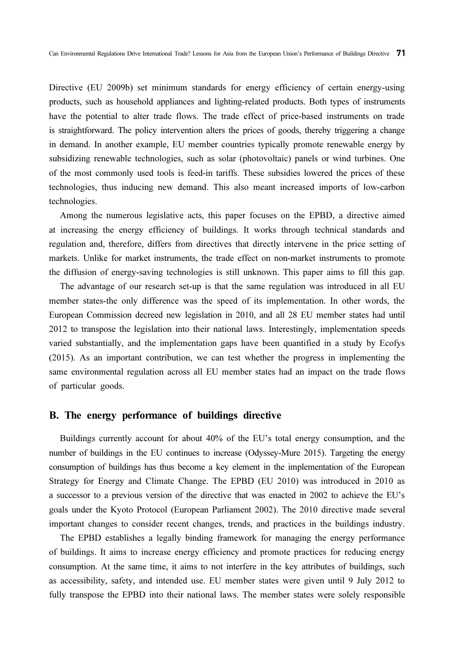Directive (EU 2009b) set minimum standards for energy efficiency of certain energy-using products, such as household appliances and lighting-related products. Both types of instruments have the potential to alter trade flows. The trade effect of price-based instruments on trade is straightforward. The policy intervention alters the prices of goods, thereby triggering a change in demand. In another example, EU member countries typically promote renewable energy by subsidizing renewable technologies, such as solar (photovoltaic) panels or wind turbines. One of the most commonly used tools is feed-in tariffs. These subsidies lowered the prices of these technologies, thus inducing new demand. This also meant increased imports of low-carbon technologies.

Among the numerous legislative acts, this paper focuses on the EPBD, a directive aimed at increasing the energy efficiency of buildings. It works through technical standards and regulation and, therefore, differs from directives that directly intervene in the price setting of markets. Unlike for market instruments, the trade effect on non-market instruments to promote the diffusion of energy-saving technologies is still unknown. This paper aims to fill this gap.

The advantage of our research set-up is that the same regulation was introduced in all EU member states-the only difference was the speed of its implementation. In other words, the European Commission decreed new legislation in 2010, and all 28 EU member states had until 2012 to transpose the legislation into their national laws. Interestingly, implementation speeds varied substantially, and the implementation gaps have been quantified in a study by Ecofys (2015). As an important contribution, we can test whether the progress in implementing the same environmental regulation across all EU member states had an impact on the trade flows of particular goods.

#### B. The energy performance of buildings directive

Buildings currently account for about 40% of the EU's total energy consumption, and the number of buildings in the EU continues to increase (Odyssey-Mure 2015). Targeting the energy consumption of buildings has thus become a key element in the implementation of the European Strategy for Energy and Climate Change. The EPBD (EU 2010) was introduced in 2010 as a successor to a previous version of the directive that was enacted in 2002 to achieve the EU's goals under the Kyoto Protocol (European Parliament 2002). The 2010 directive made several important changes to consider recent changes, trends, and practices in the buildings industry.

The EPBD establishes a legally binding framework for managing the energy performance of buildings. It aims to increase energy efficiency and promote practices for reducing energy consumption. At the same time, it aims to not interfere in the key attributes of buildings, such as accessibility, safety, and intended use. EU member states were given until 9 July 2012 to fully transpose the EPBD into their national laws. The member states were solely responsible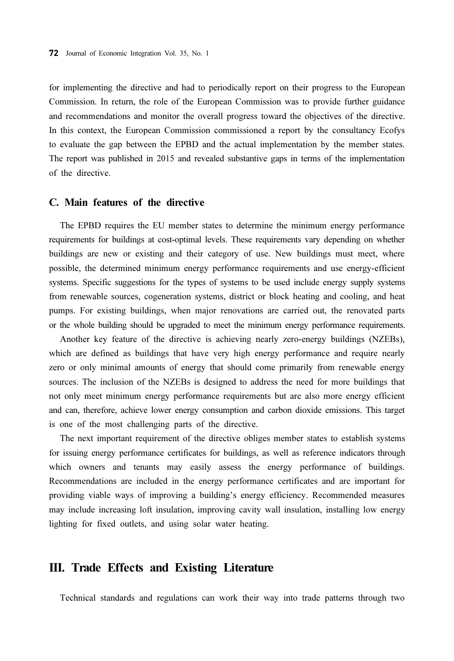for implementing the directive and had to periodically report on their progress to the European Commission. In return, the role of the European Commission was to provide further guidance and recommendations and monitor the overall progress toward the objectives of the directive. In this context, the European Commission commissioned a report by the consultancy Ecofys to evaluate the gap between the EPBD and the actual implementation by the member states. The report was published in 2015 and revealed substantive gaps in terms of the implementation of the directive.

### C. Main features of the directive

The EPBD requires the EU member states to determine the minimum energy performance requirements for buildings at cost-optimal levels. These requirements vary depending on whether buildings are new or existing and their category of use. New buildings must meet, where possible, the determined minimum energy performance requirements and use energy-efficient systems. Specific suggestions for the types of systems to be used include energy supply systems from renewable sources, cogeneration systems, district or block heating and cooling, and heat pumps. For existing buildings, when major renovations are carried out, the renovated parts or the whole building should be upgraded to meet the minimum energy performance requirements.

Another key feature of the directive is achieving nearly zero-energy buildings (NZEBs), which are defined as buildings that have very high energy performance and require nearly zero or only minimal amounts of energy that should come primarily from renewable energy sources. The inclusion of the NZEBs is designed to address the need for more buildings that not only meet minimum energy performance requirements but are also more energy efficient and can, therefore, achieve lower energy consumption and carbon dioxide emissions. This target is one of the most challenging parts of the directive.

The next important requirement of the directive obliges member states to establish systems for issuing energy performance certificates for buildings, as well as reference indicators through which owners and tenants may easily assess the energy performance of buildings. Recommendations are included in the energy performance certificates and are important for providing viable ways of improving a building's energy efficiency. Recommended measures may include increasing loft insulation, improving cavity wall insulation, installing low energy lighting for fixed outlets, and using solar water heating.

### III. Trade Effects and Existing Literature

Technical standards and regulations can work their way into trade patterns through two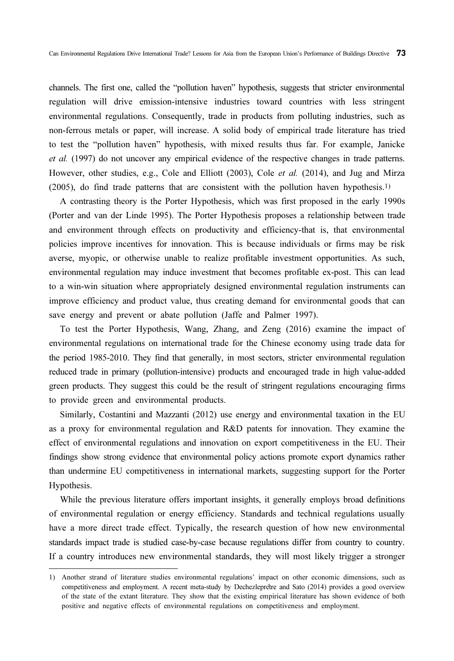channels. The first one, called the "pollution haven" hypothesis, suggests that stricter environmental regulation will drive emission-intensive industries toward countries with less stringent environmental regulations. Consequently, trade in products from polluting industries, such as non-ferrous metals or paper, will increase. A solid body of empirical trade literature has tried to test the "pollution haven" hypothesis, with mixed results thus far. For example, Janicke et al. (1997) do not uncover any empirical evidence of the respective changes in trade patterns. However, other studies, e.g., Cole and Elliott (2003), Cole et al. (2014), and Jug and Mirza (2005), do find trade patterns that are consistent with the pollution haven hypothesis.1)

A contrasting theory is the Porter Hypothesis, which was first proposed in the early 1990s (Porter and van der Linde 1995). The Porter Hypothesis proposes a relationship between trade and environment through effects on productivity and efficiency-that is, that environmental policies improve incentives for innovation. This is because individuals or firms may be risk averse, myopic, or otherwise unable to realize profitable investment opportunities. As such, environmental regulation may induce investment that becomes profitable ex-post. This can lead to a win-win situation where appropriately designed environmental regulation instruments can improve efficiency and product value, thus creating demand for environmental goods that can save energy and prevent or abate pollution (Jaffe and Palmer 1997).

To test the Porter Hypothesis, Wang, Zhang, and Zeng (2016) examine the impact of environmental regulations on international trade for the Chinese economy using trade data for the period 1985-2010. They find that generally, in most sectors, stricter environmental regulation reduced trade in primary (pollution-intensive) products and encouraged trade in high value-added green products. They suggest this could be the result of stringent regulations encouraging firms to provide green and environmental products.

Similarly, Costantini and Mazzanti (2012) use energy and environmental taxation in the EU as a proxy for environmental regulation and R&D patents for innovation. They examine the effect of environmental regulations and innovation on export competitiveness in the EU. Their findings show strong evidence that environmental policy actions promote export dynamics rather than undermine EU competitiveness in international markets, suggesting support for the Porter Hypothesis.

While the previous literature offers important insights, it generally employs broad definitions of environmental regulation or energy efficiency. Standards and technical regulations usually have a more direct trade effect. Typically, the research question of how new environmental standards impact trade is studied case-by-case because regulations differ from country to country. If a country introduces new environmental standards, they will most likely trigger a stronger

<sup>1)</sup> Another strand of literature studies environmental regulations' impact on other economic dimensions, such as competitiveness and employment. A recent meta-study by Dechezleprêtre and Sato (2014) provides a good overview of the state of the extant literature. They show that the existing empirical literature has shown evidence of both positive and negative effects of environmental regulations on competitiveness and employment.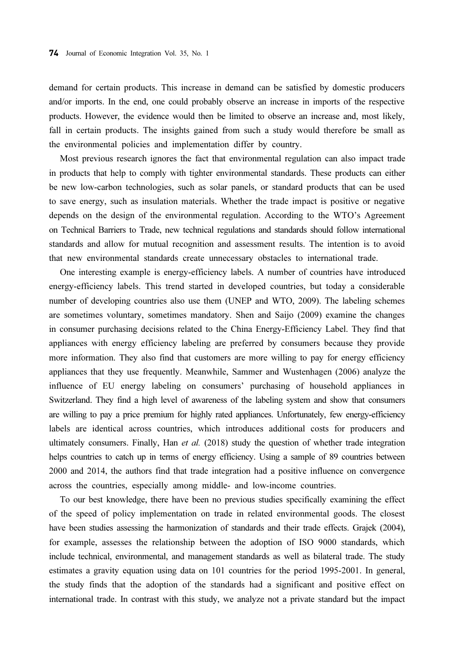demand for certain products. This increase in demand can be satisfied by domestic producers and/or imports. In the end, one could probably observe an increase in imports of the respective products. However, the evidence would then be limited to observe an increase and, most likely, fall in certain products. The insights gained from such a study would therefore be small as the environmental policies and implementation differ by country.

Most previous research ignores the fact that environmental regulation can also impact trade in products that help to comply with tighter environmental standards. These products can either be new low-carbon technologies, such as solar panels, or standard products that can be used to save energy, such as insulation materials. Whether the trade impact is positive or negative depends on the design of the environmental regulation. According to the WTO's Agreement on Technical Barriers to Trade, new technical regulations and standards should follow international standards and allow for mutual recognition and assessment results. The intention is to avoid that new environmental standards create unnecessary obstacles to international trade.

One interesting example is energy-efficiency labels. A number of countries have introduced energy-efficiency labels. This trend started in developed countries, but today a considerable number of developing countries also use them (UNEP and WTO, 2009). The labeling schemes are sometimes voluntary, sometimes mandatory. Shen and Saijo (2009) examine the changes in consumer purchasing decisions related to the China Energy-Efficiency Label. They find that appliances with energy efficiency labeling are preferred by consumers because they provide more information. They also find that customers are more willing to pay for energy efficiency appliances that they use frequently. Meanwhile, Sammer and Wustenhagen (2006) analyze the influence of EU energy labeling on consumers' purchasing of household appliances in Switzerland. They find a high level of awareness of the labeling system and show that consumers are willing to pay a price premium for highly rated appliances. Unfortunately, few energy-efficiency labels are identical across countries, which introduces additional costs for producers and ultimately consumers. Finally, Han et al.  $(2018)$  study the question of whether trade integration helps countries to catch up in terms of energy efficiency. Using a sample of 89 countries between 2000 and 2014, the authors find that trade integration had a positive influence on convergence across the countries, especially among middle- and low-income countries.

To our best knowledge, there have been no previous studies specifically examining the effect of the speed of policy implementation on trade in related environmental goods. The closest have been studies assessing the harmonization of standards and their trade effects. Grajek (2004), for example, assesses the relationship between the adoption of ISO 9000 standards, which include technical, environmental, and management standards as well as bilateral trade. The study estimates a gravity equation using data on 101 countries for the period 1995-2001. In general, the study finds that the adoption of the standards had a significant and positive effect on international trade. In contrast with this study, we analyze not a private standard but the impact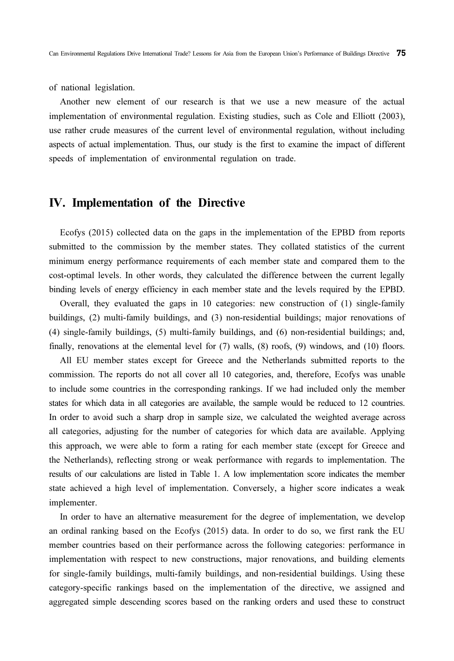of national legislation.

Another new element of our research is that we use a new measure of the actual implementation of environmental regulation. Existing studies, such as Cole and Elliott (2003), use rather crude measures of the current level of environmental regulation, without including aspects of actual implementation. Thus, our study is the first to examine the impact of different speeds of implementation of environmental regulation on trade.

### IV. Implementation of the Directive

Ecofys (2015) collected data on the gaps in the implementation of the EPBD from reports submitted to the commission by the member states. They collated statistics of the current minimum energy performance requirements of each member state and compared them to the cost-optimal levels. In other words, they calculated the difference between the current legally binding levels of energy efficiency in each member state and the levels required by the EPBD.

Overall, they evaluated the gaps in 10 categories: new construction of (1) single-family buildings, (2) multi-family buildings, and (3) non-residential buildings; major renovations of (4) single-family buildings, (5) multi-family buildings, and (6) non-residential buildings; and, finally, renovations at the elemental level for (7) walls, (8) roofs, (9) windows, and (10) floors.

All EU member states except for Greece and the Netherlands submitted reports to the commission. The reports do not all cover all 10 categories, and, therefore, Ecofys was unable to include some countries in the corresponding rankings. If we had included only the member states for which data in all categories are available, the sample would be reduced to 12 countries. In order to avoid such a sharp drop in sample size, we calculated the weighted average across all categories, adjusting for the number of categories for which data are available. Applying this approach, we were able to form a rating for each member state (except for Greece and the Netherlands), reflecting strong or weak performance with regards to implementation. The results of our calculations are listed in Table 1. A low implementation score indicates the member state achieved a high level of implementation. Conversely, a higher score indicates a weak implementer.

In order to have an alternative measurement for the degree of implementation, we develop an ordinal ranking based on the Ecofys (2015) data. In order to do so, we first rank the EU member countries based on their performance across the following categories: performance in implementation with respect to new constructions, major renovations, and building elements for single-family buildings, multi-family buildings, and non-residential buildings. Using these category-specific rankings based on the implementation of the directive, we assigned and aggregated simple descending scores based on the ranking orders and used these to construct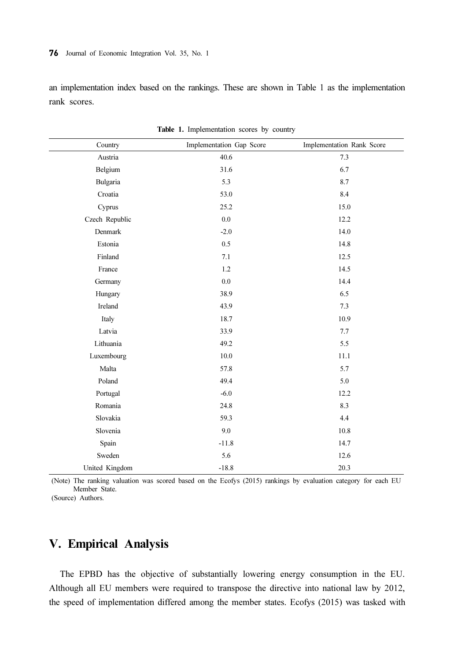#### 76 Journal of Economic Integration Vol. 35, No. 1

an implementation index based on the rankings. These are shown in Table 1 as the implementation rank scores.

| Country        | Implementation Gap Score | Implementation Rank Score |
|----------------|--------------------------|---------------------------|
| Austria        | 40.6                     | 7.3                       |
| Belgium        | 31.6                     | 6.7                       |
| Bulgaria       | 5.3                      | 8.7                       |
| Croatia        | 53.0                     | 8.4                       |
| Cyprus         | 25.2                     | 15.0                      |
| Czech Republic | 0.0                      | 12.2                      |
| Denmark        | $-2.0$                   | 14.0                      |
| Estonia        | 0.5                      | 14.8                      |
| Finland        | 7.1                      | 12.5                      |
| France         | 1.2                      | 14.5                      |
| Germany        | $0.0\,$                  | 14.4                      |
| Hungary        | 38.9                     | 6.5                       |
| Ireland        | 43.9                     | 7.3                       |
| Italy          | 18.7                     | 10.9                      |
| Latvia         | 33.9                     | 7.7                       |
| Lithuania      | 49.2                     | 5.5                       |
| Luxembourg     | 10.0                     | 11.1                      |
| Malta          | 57.8                     | 5.7                       |
| Poland         | 49.4                     | 5.0                       |
| Portugal       | $-6.0$                   | 12.2                      |
| Romania        | 24.8                     | 8.3                       |
| Slovakia       | 59.3                     | 4.4                       |
| Slovenia       | 9.0                      | 10.8                      |
| Spain          | $-11.8$                  | 14.7                      |
| Sweden         | 5.6                      | 12.6                      |
| United Kingdom | $-18.8$                  | 20.3                      |

Table 1. Implementation scores by country

(Note) The ranking valuation was scored based on the Ecofys (2015) rankings by evaluation category for each EU Member State.

(Source) Authors.

## V. Empirical Analysis

The EPBD has the objective of substantially lowering energy consumption in the EU. Although all EU members were required to transpose the directive into national law by 2012, the speed of implementation differed among the member states. Ecofys (2015) was tasked with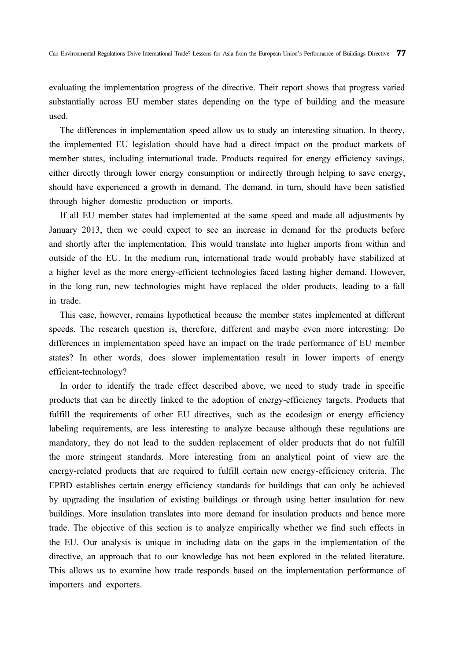evaluating the implementation progress of the directive. Their report shows that progress varied substantially across EU member states depending on the type of building and the measure used.

The differences in implementation speed allow us to study an interesting situation. In theory, the implemented EU legislation should have had a direct impact on the product markets of member states, including international trade. Products required for energy efficiency savings, either directly through lower energy consumption or indirectly through helping to save energy, should have experienced a growth in demand. The demand, in turn, should have been satisfied through higher domestic production or imports.

If all EU member states had implemented at the same speed and made all adjustments by January 2013, then we could expect to see an increase in demand for the products before and shortly after the implementation. This would translate into higher imports from within and outside of the EU. In the medium run, international trade would probably have stabilized at a higher level as the more energy-efficient technologies faced lasting higher demand. However, in the long run, new technologies might have replaced the older products, leading to a fall in trade.

This case, however, remains hypothetical because the member states implemented at different speeds. The research question is, therefore, different and maybe even more interesting: Do differences in implementation speed have an impact on the trade performance of EU member states? In other words, does slower implementation result in lower imports of energy efficient-technology?

In order to identify the trade effect described above, we need to study trade in specific products that can be directly linked to the adoption of energy-efficiency targets. Products that fulfill the requirements of other EU directives, such as the ecodesign or energy efficiency labeling requirements, are less interesting to analyze because although these regulations are mandatory, they do not lead to the sudden replacement of older products that do not fulfill the more stringent standards. More interesting from an analytical point of view are the energy-related products that are required to fulfill certain new energy-efficiency criteria. The EPBD establishes certain energy efficiency standards for buildings that can only be achieved by upgrading the insulation of existing buildings or through using better insulation for new buildings. More insulation translates into more demand for insulation products and hence more trade. The objective of this section is to analyze empirically whether we find such effects in the EU. Our analysis is unique in including data on the gaps in the implementation of the directive, an approach that to our knowledge has not been explored in the related literature. This allows us to examine how trade responds based on the implementation performance of importers and exporters.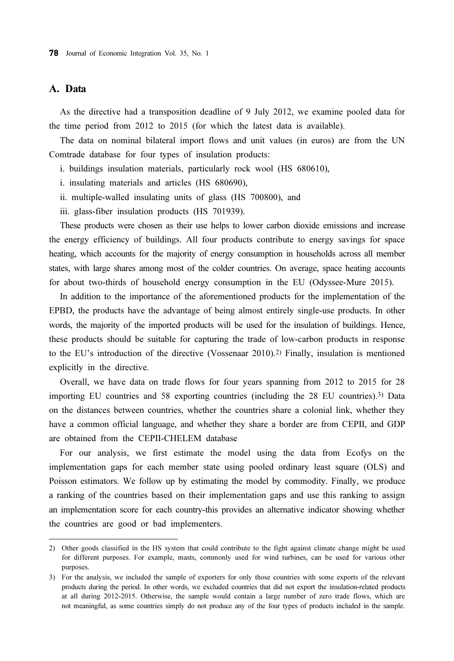### A. Data

As the directive had a transposition deadline of 9 July 2012, we examine pooled data for the time period from 2012 to 2015 (for which the latest data is available).

The data on nominal bilateral import flows and unit values (in euros) are from the UN Comtrade database for four types of insulation products:

i. buildings insulation materials, particularly rock wool (HS 680610),

- i. insulating materials and articles (HS 680690),
- ii. multiple-walled insulating units of glass (HS 700800), and
- iii. glass-fiber insulation products (HS 701939).

These products were chosen as their use helps to lower carbon dioxide emissions and increase the energy efficiency of buildings. All four products contribute to energy savings for space heating, which accounts for the majority of energy consumption in households across all member states, with large shares among most of the colder countries. On average, space heating accounts for about two-thirds of household energy consumption in the EU (Odyssee-Mure 2015).

In addition to the importance of the aforementioned products for the implementation of the EPBD, the products have the advantage of being almost entirely single-use products. In other words, the majority of the imported products will be used for the insulation of buildings. Hence, these products should be suitable for capturing the trade of low-carbon products in response to the EU's introduction of the directive (Vossenaar 2010).2) Finally, insulation is mentioned explicitly in the directive.

Overall, we have data on trade flows for four years spanning from 2012 to 2015 for 28 importing EU countries and 58 exporting countries (including the 28 EU countries).3) Data on the distances between countries, whether the countries share a colonial link, whether they have a common official language, and whether they share a border are from CEPII, and GDP are obtained from the CEPII-CHELEM database

For our analysis, we first estimate the model using the data from Ecofys on the implementation gaps for each member state using pooled ordinary least square (OLS) and Poisson estimators. We follow up by estimating the model by commodity. Finally, we produce a ranking of the countries based on their implementation gaps and use this ranking to assign an implementation score for each country-this provides an alternative indicator showing whether the countries are good or bad implementers.

<sup>2)</sup> Other goods classified in the HS system that could contribute to the fight against climate change might be used for different purposes. For example, masts, commonly used for wind turbines, can be used for various other purposes.

<sup>3)</sup> For the analysis, we included the sample of exporters for only those countries with some exports of the relevant products during the period. In other words, we excluded countries that did not export the insulation-related products at all during 2012-2015. Otherwise, the sample would contain a large number of zero trade flows, which are not meaningful, as some countries simply do not produce any of the four types of products included in the sample.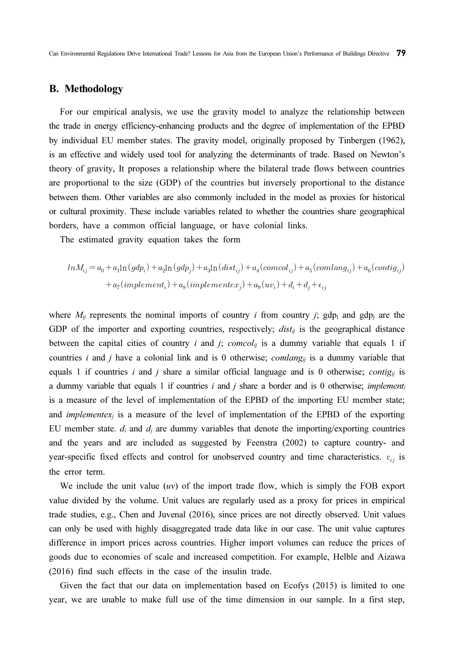Can Environmental Regulations Drive International Trade? Lessons for Asia from the European Union's Performance of Buildings Directive 79

### B. Methodology

For our empirical analysis, we use the gravity model to analyze the relationship between the trade in energy efficiency-enhancing products and the degree of implementation of the EPBD by individual EU member states. The gravity model, originally proposed by Tinbergen (1962), is an effective and widely used tool for analyzing the determinants of trade. Based on Newton's theory of gravity, It proposes a relationship where the bilateral trade flows between countries are proportional to the size (GDP) of the countries but inversely proportional to the distance between them. Other variables are also commonly included in the model as proxies for historical or cultural proximity. These include variables related to whether the countries share geographical borders, have a common official language, or have colonial links.

The estimated gravity equation takes the form

$$
\begin{aligned} ln M_{ij} = a_0 + a_1 ln \left( g d p_i \right) + a_2 ln \left( g d p_j \right) + a_3 ln \left( dist_{ij} \right) + a_4 (comcol_{ij}) + a_5 (comlang_{ij}) + a_6 (contig_{ij}) \\ + a_7 (implement_i) + a_8 (implement_x) + a_9 (uv_i) + d_i + d_j + \epsilon_{ij} \end{aligned}
$$

where  $M_{ij}$  represents the nominal imports of country i from country j; gdp<sub>i</sub> and gdp<sub>j</sub> are the GDP of the importer and exporting countries, respectively;  $dist_{ij}$  is the geographical distance between the capital cities of country i and j;  $comcol_{ij}$  is a dummy variable that equals 1 if countries i and j have a colonial link and is 0 otherwise;  $comlang_{ij}$  is a dummy variable that equals 1 if countries i and j share a similar official language and is 0 otherwise; *contig<sub>ii</sub>* is a dummy variable that equals 1 if countries i and j share a border and is 0 otherwise; *implement<sub>i</sub>* is a measure of the level of implementation of the EPBD of the importing EU member state; and *implementex<sub>i</sub>* is a measure of the level of implementation of the EPBD of the exporting EU member state.  $d_i$  and  $d_j$  are dummy variables that denote the importing/exporting countries and the years and are included as suggested by Feenstra (2002) to capture country- and year-specific fixed effects and control for unobserved country and time characteristics.  $\varepsilon_{i,j}$  is the error term.

We include the unit value  $(uv)$  of the import trade flow, which is simply the FOB export value divided by the volume. Unit values are regularly used as a proxy for prices in empirical trade studies, e.g., Chen and Juvenal (2016), since prices are not directly observed. Unit values can only be used with highly disaggregated trade data like in our case. The unit value captures difference in import prices across countries. Higher import volumes can reduce the prices of goods due to economies of scale and increased competition. For example, Helble and Aizawa (2016) find such effects in the case of the insulin trade.

Given the fact that our data on implementation based on Ecofys (2015) is limited to one year, we are unable to make full use of the time dimension in our sample. In a first step,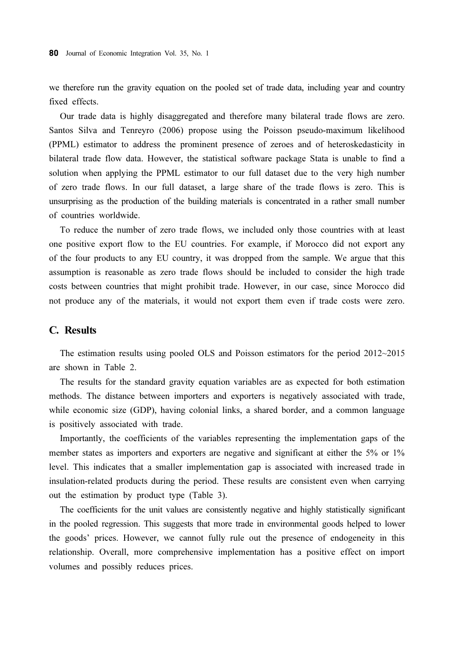we therefore run the gravity equation on the pooled set of trade data, including year and country fixed effects.

Our trade data is highly disaggregated and therefore many bilateral trade flows are zero. Santos Silva and Tenreyro (2006) propose using the Poisson pseudo-maximum likelihood (PPML) estimator to address the prominent presence of zeroes and of heteroskedasticity in bilateral trade flow data. However, the statistical software package Stata is unable to find a solution when applying the PPML estimator to our full dataset due to the very high number of zero trade flows. In our full dataset, a large share of the trade flows is zero. This is unsurprising as the production of the building materials is concentrated in a rather small number of countries worldwide.

To reduce the number of zero trade flows, we included only those countries with at least one positive export flow to the EU countries. For example, if Morocco did not export any of the four products to any EU country, it was dropped from the sample. We argue that this assumption is reasonable as zero trade flows should be included to consider the high trade costs between countries that might prohibit trade. However, in our case, since Morocco did not produce any of the materials, it would not export them even if trade costs were zero.

### C. Results

The estimation results using pooled OLS and Poisson estimators for the period 2012~2015 are shown in Table 2.

The results for the standard gravity equation variables are as expected for both estimation methods. The distance between importers and exporters is negatively associated with trade, while economic size (GDP), having colonial links, a shared border, and a common language is positively associated with trade.

Importantly, the coefficients of the variables representing the implementation gaps of the member states as importers and exporters are negative and significant at either the 5% or 1% level. This indicates that a smaller implementation gap is associated with increased trade in insulation-related products during the period. These results are consistent even when carrying out the estimation by product type (Table 3).

The coefficients for the unit values are consistently negative and highly statistically significant in the pooled regression. This suggests that more trade in environmental goods helped to lower the goods' prices. However, we cannot fully rule out the presence of endogeneity in this relationship. Overall, more comprehensive implementation has a positive effect on import volumes and possibly reduces prices.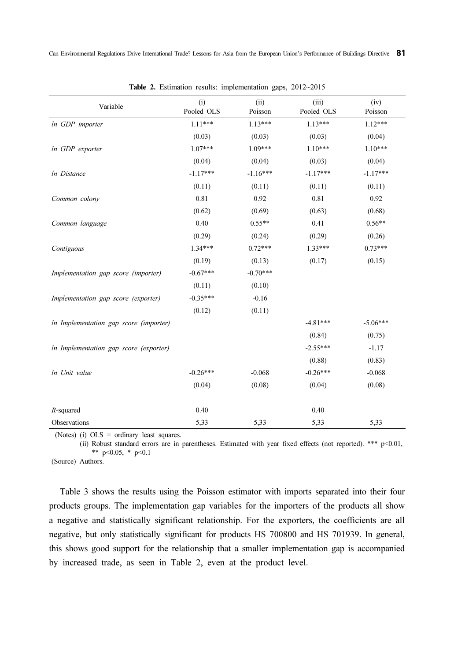| Variable                               | (i)<br>Pooled OLS | (ii)<br>Poisson | (iii)<br>Pooled OLS | (iv)<br>Poisson |
|----------------------------------------|-------------------|-----------------|---------------------|-----------------|
| In GDP importer                        | $1.11***$         | $1.13***$       | $1.13***$           | $1.12***$       |
|                                        | (0.03)            | (0.03)          | (0.03)              | (0.04)          |
| In GDP exporter                        | $1.07***$         | 1.09***         | $1.10***$           | $1.10***$       |
|                                        | (0.04)            | (0.04)          | (0.03)              | (0.04)          |
| In Distance                            | $-1.17***$        | $-1.16***$      | $-1.17***$          | $-1.17***$      |
|                                        | (0.11)            | (0.11)          | (0.11)              | (0.11)          |
| Common colony                          | 0.81              | 0.92            | 0.81                | 0.92            |
|                                        | (0.62)            | (0.69)          | (0.63)              | (0.68)          |
| Common language                        | 0.40              | $0.55**$        | 0.41                | $0.56**$        |
|                                        | (0.29)            | (0.24)          | (0.29)              | (0.26)          |
| Contiguous                             | $1.34***$         | $0.72***$       | $1.33***$           | $0.73***$       |
|                                        | (0.19)            | (0.13)          | (0.17)              | (0.15)          |
| Implementation gap score (importer)    | $-0.67***$        | $-0.70***$      |                     |                 |
|                                        | (0.11)            | (0.10)          |                     |                 |
| Implementation gap score (exporter)    | $-0.35***$        | $-0.16$         |                     |                 |
|                                        | (0.12)            | (0.11)          |                     |                 |
| In Implementation gap score (importer) |                   |                 | $-4.81***$          | $-5.06***$      |
|                                        |                   |                 | (0.84)              | (0.75)          |
| In Implementation gap score (exporter) |                   |                 | $-2.55***$          | $-1.17$         |
|                                        |                   |                 | (0.88)              | (0.83)          |
| In Unit value                          | $-0.26***$        | $-0.068$        | $-0.26***$          | $-0.068$        |
|                                        | (0.04)            | (0.08)          | (0.04)              | (0.08)          |
| $R$ -squared                           | 0.40              |                 | 0.40                |                 |
| Observations                           | 5,33              | 5,33            | 5,33                | 5,33            |

Table 2. Estimation results: implementation gaps, 2012~2015

(Notes) (i) OLS = ordinary least squares.

(ii) Robust standard errors are in parentheses. Estimated with year fixed effects (not reported). \*\*\* p<0.01, \*\*  $p<0.05$ , \*  $p<0.1$ 

(Source) Authors.

Table 3 shows the results using the Poisson estimator with imports separated into their four products groups. The implementation gap variables for the importers of the products all show a negative and statistically significant relationship. For the exporters, the coefficients are all negative, but only statistically significant for products HS 700800 and HS 701939. In general, this shows good support for the relationship that a smaller implementation gap is accompanied by increased trade, as seen in Table 2, even at the product level.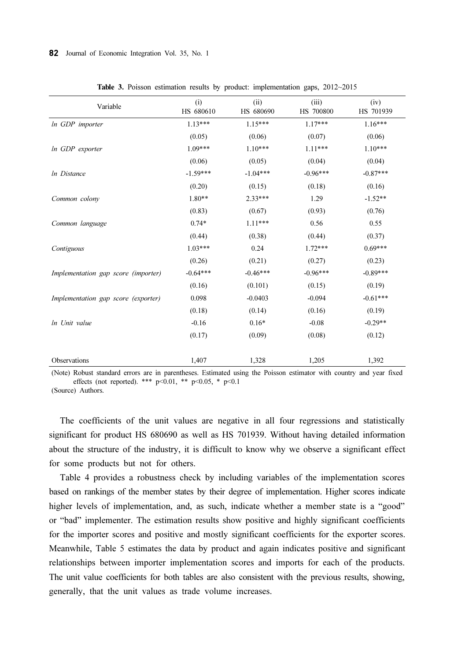| Variable                            | (i)<br>HS 680610 | (ii)<br>HS 680690 | (iii)<br>HS 700800 | (iv)<br>HS 701939 |
|-------------------------------------|------------------|-------------------|--------------------|-------------------|
| In GDP importer                     | $1.13***$        | $1.15***$         | $1.17***$          | $1.16***$         |
|                                     | (0.05)           | (0.06)            | (0.07)             | (0.06)            |
| In GDP exporter                     | $1.09***$        | $1.10***$         | $1.11***$          | $1.10***$         |
|                                     | (0.06)           | (0.05)            | (0.04)             | (0.04)            |
| <i>In Distance</i>                  | $-1.59***$       | $-1.04***$        | $-0.96***$         | $-0.87***$        |
|                                     | (0.20)           | (0.15)            | (0.18)             | (0.16)            |
| Common colony                       | $1.80**$         | $2.33***$         | 1.29               | $-1.52**$         |
|                                     | (0.83)           | (0.67)            | (0.93)             | (0.76)            |
| Common language                     | $0.74*$          | $1.11***$         | 0.56               | 0.55              |
|                                     | (0.44)           | (0.38)            | (0.44)             | (0.37)            |
| Contiguous                          | $1.03***$        | 0.24              | $1.72***$          | $0.69***$         |
|                                     | (0.26)           | (0.21)            | (0.27)             | (0.23)            |
| Implementation gap score (importer) | $-0.64***$       | $-0.46***$        | $-0.96***$         | $-0.89***$        |
|                                     | (0.16)           | (0.101)           | (0.15)             | (0.19)            |
| Implementation gap score (exporter) | 0.098            | $-0.0403$         | $-0.094$           | $-0.61***$        |
|                                     | (0.18)           | (0.14)            | (0.16)             | (0.19)            |
| In Unit value                       | $-0.16$          | $0.16*$           | $-0.08$            | $-0.29**$         |
|                                     | (0.17)           | (0.09)            | (0.08)             | (0.12)            |
|                                     |                  |                   |                    |                   |
| Observations                        | 1,407            | 1,328             | 1,205              | 1,392             |

Table 3. Poisson estimation results by product: implementation gaps, 2012~2015

(Note) Robust standard errors are in parentheses. Estimated using the Poisson estimator with country and year fixed effects (not reported). \*\*\*  $p<0.01$ , \*\*  $p<0.05$ , \*  $p<0.1$ 

(Source) Authors.

The coefficients of the unit values are negative in all four regressions and statistically significant for product HS 680690 as well as HS 701939. Without having detailed information about the structure of the industry, it is difficult to know why we observe a significant effect for some products but not for others.

Table 4 provides a robustness check by including variables of the implementation scores based on rankings of the member states by their degree of implementation. Higher scores indicate higher levels of implementation, and, as such, indicate whether a member state is a "good" or "bad" implementer. The estimation results show positive and highly significant coefficients for the importer scores and positive and mostly significant coefficients for the exporter scores. Meanwhile, Table 5 estimates the data by product and again indicates positive and significant relationships between importer implementation scores and imports for each of the products. The unit value coefficients for both tables are also consistent with the previous results, showing, generally, that the unit values as trade volume increases.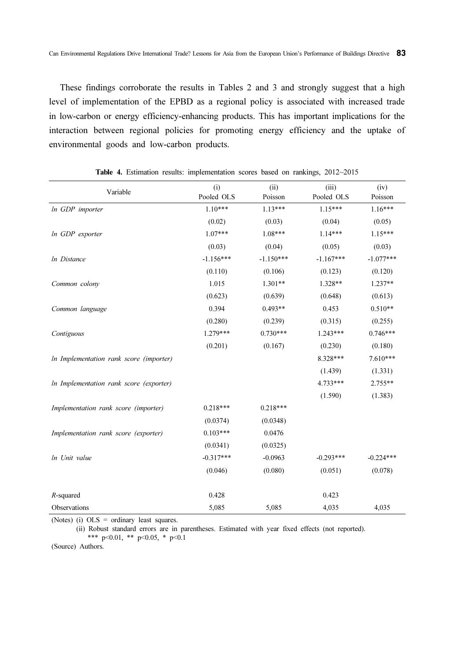These findings corroborate the results in Tables 2 and 3 and strongly suggest that a high level of implementation of the EPBD as a regional policy is associated with increased trade in low-carbon or energy efficiency-enhancing products. This has important implications for the interaction between regional policies for promoting energy efficiency and the uptake of environmental goods and low-carbon products.

| Variable                                | (i)<br>Pooled OLS | (ii)        | (iii)       | (iv)        |
|-----------------------------------------|-------------------|-------------|-------------|-------------|
|                                         |                   | Poisson     | Pooled OLS  | Poisson     |
| In GDP importer                         | $1.10***$         | $1.13***$   | $1.15***$   | $1.16***$   |
|                                         | (0.02)            | (0.03)      | (0.04)      | (0.05)      |
| In GDP exporter                         | $1.07***$         | 1.08***     | $1.14***$   | $1.15***$   |
|                                         | (0.03)            | (0.04)      | (0.05)      | (0.03)      |
| In Distance                             | $-1.156***$       | $-1.150***$ | $-1.167***$ | $-1.077***$ |
|                                         | (0.110)           | (0.106)     | (0.123)     | (0.120)     |
| Common colony                           | 1.015             | $1.301**$   | 1.328**     | $1.237**$   |
|                                         | (0.623)           | (0.639)     | (0.648)     | (0.613)     |
| Common language                         | 0.394             | $0.493**$   | 0.453       | $0.510**$   |
|                                         | (0.280)           | (0.239)     | (0.315)     | (0.255)     |
| Contiguous                              | $1.279***$        | $0.730***$  | $1.243***$  | $0.746***$  |
|                                         | (0.201)           | (0.167)     | (0.230)     | (0.180)     |
| In Implementation rank score (importer) |                   |             | 8.328***    | 7.610***    |
|                                         |                   |             | (1.439)     | (1.331)     |
| In Implementation rank score (exporter) |                   |             | $4.733***$  | 2.755**     |
|                                         |                   |             | (1.590)     | (1.383)     |
| Implementation rank score (importer)    | $0.218***$        | $0.218***$  |             |             |
|                                         | (0.0374)          | (0.0348)    |             |             |
| Implementation rank score (exporter)    | $0.103***$        | 0.0476      |             |             |
|                                         | (0.0341)          | (0.0325)    |             |             |
| In Unit value                           | $-0.317***$       | $-0.0963$   | $-0.293***$ | $-0.224***$ |
|                                         | (0.046)           | (0.080)     | (0.051)     | (0.078)     |
| $R$ -squared                            | 0.428             |             | 0.423       |             |
| Observations                            | 5,085             | 5,085       | 4,035       | 4,035       |

Table 4. Estimation results: implementation scores based on rankings, 2012~2015

(Notes) (i) OLS = ordinary least squares.

(ii) Robust standard errors are in parentheses. Estimated with year fixed effects (not reported). \*\*\* p<0.01, \*\* p<0.05, \* p<0.1

(Source) Authors.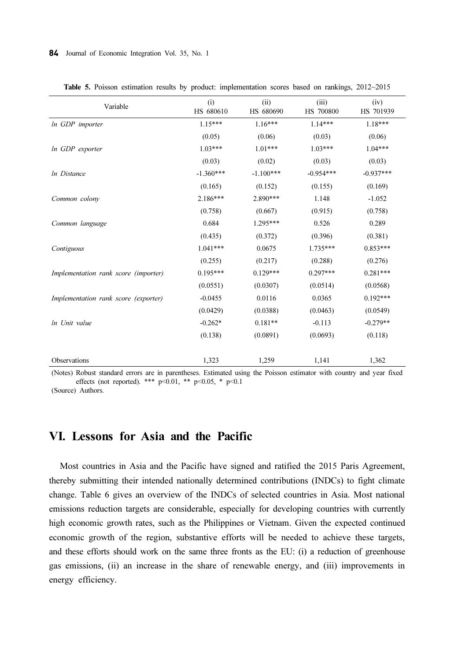| Variable                             | (i)<br>HS 680610 | (ii)<br>HS 680690 | (iii)<br>HS 700800 | (iv)<br>HS 701939 |
|--------------------------------------|------------------|-------------------|--------------------|-------------------|
| In GDP importer                      | $1.15***$        | $1.16***$         | $1.14***$          | $1.18***$         |
|                                      | (0.05)           | (0.06)            | (0.03)             | (0.06)            |
| In GDP exporter                      | $1.03***$        | $1.01***$         | $1.03***$          | $1.04***$         |
|                                      | (0.03)           | (0.02)            | (0.03)             | (0.03)            |
| In Distance                          | $-1.360***$      | $-1.100***$       | $-0.954***$        | $-0.937***$       |
|                                      | (0.165)          | (0.152)           | (0.155)            | (0.169)           |
| Common colony                        | $2.186***$       | 2.890***          | 1.148              | $-1.052$          |
|                                      | (0.758)          | (0.667)           | (0.915)            | (0.758)           |
| Common language                      | 0.684            | $1.295***$        | 0.526              | 0.289             |
|                                      | (0.435)          | (0.372)           | (0.396)            | (0.381)           |
| Contiguous                           | $1.041***$       | 0.0675            | $1.735***$         | $0.853***$        |
|                                      | (0.255)          | (0.217)           | (0.288)            | (0.276)           |
| Implementation rank score (importer) | $0.195***$       | $0.129***$        | $0.297***$         | $0.281***$        |
|                                      | (0.0551)         | (0.0307)          | (0.0514)           | (0.0568)          |
| Implementation rank score (exporter) | $-0.0455$        | 0.0116            | 0.0365             | $0.192***$        |
|                                      | (0.0429)         | (0.0388)          | (0.0463)           | (0.0549)          |
| In Unit value                        | $-0.262*$        | $0.181**$         | $-0.113$           | $-0.279**$        |
|                                      | (0.138)          | (0.0891)          | (0.0693)           | (0.118)           |
|                                      |                  |                   |                    |                   |
| Observations                         | 1,323            | 1,259             | 1,141              | 1,362             |

Table 5. Poisson estimation results by product: implementation scores based on rankings, 2012~2015

(Notes) Robust standard errors are in parentheses. Estimated using the Poisson estimator with country and year fixed effects (not reported). \*\*\*  $p<0.01$ , \*\*  $p<0.05$ , \*  $p<0.1$ 

(Source) Authors.

### VI. Lessons for Asia and the Pacific

Most countries in Asia and the Pacific have signed and ratified the 2015 Paris Agreement, thereby submitting their intended nationally determined contributions (INDCs) to fight climate change. Table 6 gives an overview of the INDCs of selected countries in Asia. Most national emissions reduction targets are considerable, especially for developing countries with currently high economic growth rates, such as the Philippines or Vietnam. Given the expected continued economic growth of the region, substantive efforts will be needed to achieve these targets, and these efforts should work on the same three fronts as the EU: (i) a reduction of greenhouse gas emissions, (ii) an increase in the share of renewable energy, and (iii) improvements in energy efficiency.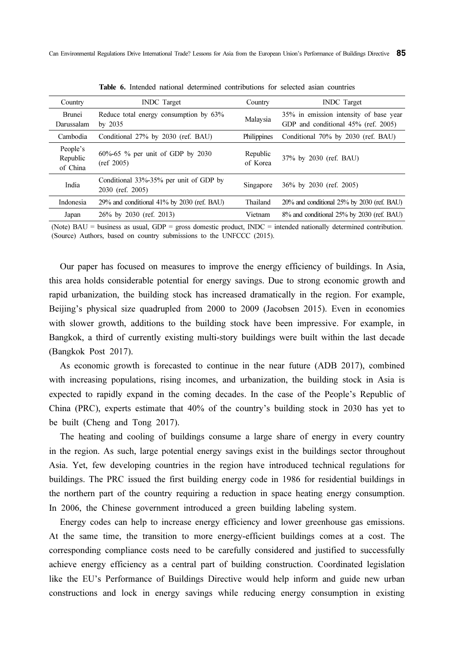| Country                          | <b>INDC</b> Target                                         | Country              | <b>INDC</b> Target                                                            |
|----------------------------------|------------------------------------------------------------|----------------------|-------------------------------------------------------------------------------|
| Brunei<br>Darussalam             | Reduce total energy consumption by 63%<br>by $2035$        | Malaysia             | 35% in emission intensity of base year<br>GDP and conditional 45% (ref. 2005) |
| Cambodia                         | Conditional 27% by 2030 (ref. BAU)                         | Philippines          | Conditional 70% by 2030 (ref. BAU)                                            |
| People's<br>Republic<br>of China | $60\% - 65$ % per unit of GDP by 2030<br>(ref 2005)        | Republic<br>of Korea | 37% by 2030 (ref. BAU)                                                        |
| India                            | Conditional 33%-35% per unit of GDP by<br>2030 (ref. 2005) | Singapore            | 36% by 2030 (ref. 2005)                                                       |
| Indonesia                        | 29% and conditional 41% by 2030 (ref. BAU)                 | Thailand             | 20% and conditional 25% by 2030 (ref. BAU)                                    |
| Japan                            | 26% by 2030 (ref. 2013)                                    | Vietnam              | 8% and conditional 25% by 2030 (ref. BAU)                                     |

Table 6. Intended national determined contributions for selected asian countries

(Note) BAU = business as usual, GDP = gross domestic product, INDC = intended nationally determined contribution. (Source) Authors, based on country submissions to the UNFCCC (2015).

Our paper has focused on measures to improve the energy efficiency of buildings. In Asia, this area holds considerable potential for energy savings. Due to strong economic growth and rapid urbanization, the building stock has increased dramatically in the region. For example, Beijing's physical size quadrupled from 2000 to 2009 (Jacobsen 2015). Even in economies with slower growth, additions to the building stock have been impressive. For example, in Bangkok, a third of currently existing multi-story buildings were built within the last decade (Bangkok Post 2017).

As economic growth is forecasted to continue in the near future (ADB 2017), combined with increasing populations, rising incomes, and urbanization, the building stock in Asia is expected to rapidly expand in the coming decades. In the case of the People's Republic of China (PRC), experts estimate that 40% of the country's building stock in 2030 has yet to be built (Cheng and Tong 2017).

The heating and cooling of buildings consume a large share of energy in every country in the region. As such, large potential energy savings exist in the buildings sector throughout Asia. Yet, few developing countries in the region have introduced technical regulations for buildings. The PRC issued the first building energy code in 1986 for residential buildings in the northern part of the country requiring a reduction in space heating energy consumption. In 2006, the Chinese government introduced a green building labeling system.

Energy codes can help to increase energy efficiency and lower greenhouse gas emissions. At the same time, the transition to more energy-efficient buildings comes at a cost. The corresponding compliance costs need to be carefully considered and justified to successfully achieve energy efficiency as a central part of building construction. Coordinated legislation like the EU's Performance of Buildings Directive would help inform and guide new urban constructions and lock in energy savings while reducing energy consumption in existing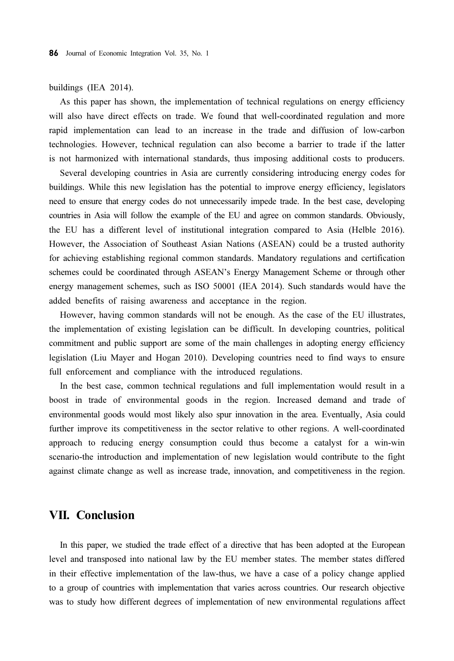#### buildings (IEA 2014).

As this paper has shown, the implementation of technical regulations on energy efficiency will also have direct effects on trade. We found that well-coordinated regulation and more rapid implementation can lead to an increase in the trade and diffusion of low-carbon technologies. However, technical regulation can also become a barrier to trade if the latter is not harmonized with international standards, thus imposing additional costs to producers.

Several developing countries in Asia are currently considering introducing energy codes for buildings. While this new legislation has the potential to improve energy efficiency, legislators need to ensure that energy codes do not unnecessarily impede trade. In the best case, developing countries in Asia will follow the example of the EU and agree on common standards. Obviously, the EU has a different level of institutional integration compared to Asia (Helble 2016). However, the Association of Southeast Asian Nations (ASEAN) could be a trusted authority for achieving establishing regional common standards. Mandatory regulations and certification schemes could be coordinated through ASEAN's Energy Management Scheme or through other energy management schemes, such as ISO 50001 (IEA 2014). Such standards would have the added benefits of raising awareness and acceptance in the region.

However, having common standards will not be enough. As the case of the EU illustrates, the implementation of existing legislation can be difficult. In developing countries, political commitment and public support are some of the main challenges in adopting energy efficiency legislation (Liu Mayer and Hogan 2010). Developing countries need to find ways to ensure full enforcement and compliance with the introduced regulations.

In the best case, common technical regulations and full implementation would result in a boost in trade of environmental goods in the region. Increased demand and trade of environmental goods would most likely also spur innovation in the area. Eventually, Asia could further improve its competitiveness in the sector relative to other regions. A well-coordinated approach to reducing energy consumption could thus become a catalyst for a win-win scenario-the introduction and implementation of new legislation would contribute to the fight against climate change as well as increase trade, innovation, and competitiveness in the region.

### VII. Conclusion

In this paper, we studied the trade effect of a directive that has been adopted at the European level and transposed into national law by the EU member states. The member states differed in their effective implementation of the law-thus, we have a case of a policy change applied to a group of countries with implementation that varies across countries. Our research objective was to study how different degrees of implementation of new environmental regulations affect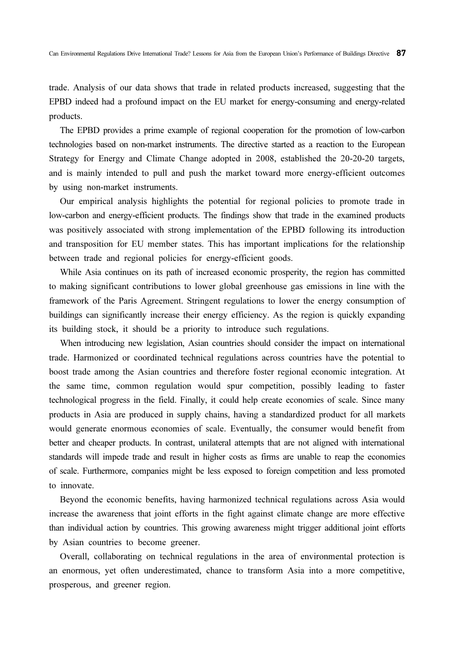trade. Analysis of our data shows that trade in related products increased, suggesting that the EPBD indeed had a profound impact on the EU market for energy-consuming and energy-related products.

The EPBD provides a prime example of regional cooperation for the promotion of low-carbon technologies based on non-market instruments. The directive started as a reaction to the European Strategy for Energy and Climate Change adopted in 2008, established the 20-20-20 targets, and is mainly intended to pull and push the market toward more energy-efficient outcomes by using non-market instruments.

Our empirical analysis highlights the potential for regional policies to promote trade in low-carbon and energy-efficient products. The findings show that trade in the examined products was positively associated with strong implementation of the EPBD following its introduction and transposition for EU member states. This has important implications for the relationship between trade and regional policies for energy-efficient goods.

While Asia continues on its path of increased economic prosperity, the region has committed to making significant contributions to lower global greenhouse gas emissions in line with the framework of the Paris Agreement. Stringent regulations to lower the energy consumption of buildings can significantly increase their energy efficiency. As the region is quickly expanding its building stock, it should be a priority to introduce such regulations.

When introducing new legislation, Asian countries should consider the impact on international trade. Harmonized or coordinated technical regulations across countries have the potential to boost trade among the Asian countries and therefore foster regional economic integration. At the same time, common regulation would spur competition, possibly leading to faster technological progress in the field. Finally, it could help create economies of scale. Since many products in Asia are produced in supply chains, having a standardized product for all markets would generate enormous economies of scale. Eventually, the consumer would benefit from better and cheaper products. In contrast, unilateral attempts that are not aligned with international standards will impede trade and result in higher costs as firms are unable to reap the economies of scale. Furthermore, companies might be less exposed to foreign competition and less promoted to innovate.

Beyond the economic benefits, having harmonized technical regulations across Asia would increase the awareness that joint efforts in the fight against climate change are more effective than individual action by countries. This growing awareness might trigger additional joint efforts by Asian countries to become greener.

Overall, collaborating on technical regulations in the area of environmental protection is an enormous, yet often underestimated, chance to transform Asia into a more competitive, prosperous, and greener region.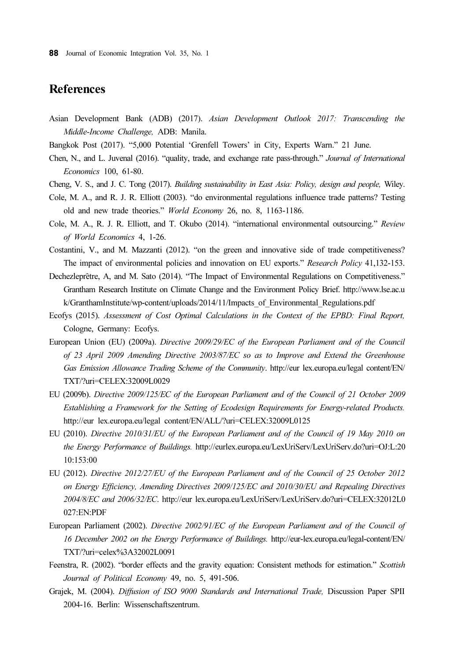### References

- Asian Development Bank (ADB) (2017). Asian Development Outlook 2017: Transcending the Middle-Income Challenge, ADB: Manila.
- Bangkok Post (2017). "5,000 Potential 'Grenfell Towers' in City, Experts Warn." 21 June.
- Chen, N., and L. Juvenal (2016). "quality, trade, and exchange rate pass-through." Journal of International Economics 100, 61-80.
- Cheng, V. S., and J. C. Tong (2017). Building sustainability in East Asia: Policy, design and people, Wiley.
- Cole, M. A., and R. J. R. Elliott (2003). "do environmental regulations influence trade patterns? Testing old and new trade theories." World Economy 26, no. 8, 1163-1186.
- Cole, M. A., R. J. R. Elliott, and T. Okubo (2014). "international environmental outsourcing." Review of World Economics 4, 1-26.
- Costantini, V., and M. Mazzanti (2012). "on the green and innovative side of trade competitiveness? The impact of environmental policies and innovation on EU exports." Research Policy 41,132-153.
- Dechezleprêtre, A, and M. Sato (2014). "The Impact of Environmental Regulations on Competitiveness." Grantham Research Institute on Climate Change and the Environment Policy Brief. http://www.lse.ac.u k/GranthamInstitute/wp-content/uploads/2014/11/Impacts\_of\_Environmental\_Regulations.pdf
- Ecofys (2015). Assessment of Cost Optimal Calculations in the Context of the EPBD: Final Report, Cologne, Germany: Ecofys.
- European Union (EU) (2009a). Directive 2009/29/EC of the European Parliament and of the Council of 23 April 2009 Amending Directive 2003/87/EC so as to Improve and Extend the Greenhouse Gas Emission Allowance Trading Scheme of the Community. http://eur lex.europa.eu/legal content/EN/ TXT/?uri=CELEX:32009L0029
- EU (2009b). Directive 2009/125/EC of the European Parliament and of the Council of 21 October 2009 Establishing a Framework for the Setting of Ecodesign Requirements for Energy-related Products. http://eur lex.europa.eu/legal content/EN/ALL/?uri=CELEX:32009L0125
- EU (2010). Directive 2010/31/EU of the European Parliament and of the Council of 19 May 2010 on the Energy Performance of Buildings. http://eurlex.europa.eu/LexUriServ/LexUriServ.do?uri=OJ:L:20 10:153:00
- EU (2012). Directive 2012/27/EU of the European Parliament and of the Council of 25 October 2012 on Energy Efficiency, Amending Directives 2009/125/EC and 2010/30/EU and Repealing Directives 2004/8/EC and 2006/32/EC. http://eur lex.europa.eu/LexUriServ/LexUriServ.do?uri=CELEX:32012L0 027:EN:PDF
- European Parliament (2002). Directive 2002/91/EC of the European Parliament and of the Council of 16 December 2002 on the Energy Performance of Buildings. http://eur-lex.europa.eu/legal-content/EN/ TXT/?uri=celex%3A32002L0091
- Feenstra, R. (2002). "border effects and the gravity equation: Consistent methods for estimation." Scottish Journal of Political Economy 49, no. 5, 491-506.
- Grajek, M. (2004). Diffusion of ISO 9000 Standards and International Trade, Discussion Paper SPII 2004-16. Berlin: Wissenschaftszentrum.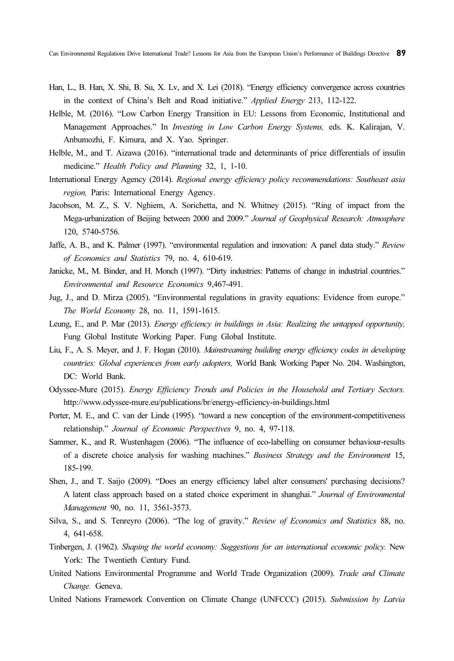- Han, L., B. Han, X. Shi, B. Su, X. Lv, and X. Lei (2018). "Energy efficiency convergence across countries in the context of China's Belt and Road initiative." Applied Energy 213, 112-122.
- Helble, M. (2016). "Low Carbon Energy Transition in EU: Lessons from Economic, Institutional and Management Approaches." In Investing in Low Carbon Energy Systems, eds. K. Kalirajan, V. Anbumozhi, F. Kimura, and X. Yao. Springer.
- Helble, M., and T. Aizawa (2016). "international trade and determinants of price differentials of insulin medicine." Health Policy and Planning 32, 1, 1-10.
- International Energy Agency (2014). Regional energy efficiency policy recommendations: Southeast asia region, Paris: International Energy Agency.
- Jacobson, M. Z., S. V. Nghiem, A. Sorichetta, and N. Whitney (2015). "Ring of impact from the Mega-urbanization of Beijing between 2000 and 2009." Journal of Geophysical Research: Atmosphere 120, 5740-5756.
- Jaffe, A. B., and K. Palmer (1997). "environmental regulation and innovation: A panel data study." Review of Economics and Statistics 79, no. 4, 610-619.
- Janicke, M., M. Binder, and H. Monch (1997). "Dirty industries: Patterns of change in industrial countries." Environmental and Resource Economics 9,467-491.
- Jug, J., and D. Mirza (2005). "Environmental regulations in gravity equations: Evidence from europe." The World Economy 28, no. 11, 1591-1615.
- Leung, E., and P. Mar (2013). Energy efficiency in buildings in Asia: Realizing the untapped opportunity, Fung Global Institute Working Paper. Fung Global Institute.
- Liu, F., A. S. Meyer, and J. F. Hogan (2010). Mainstreaming building energy efficiency codes in developing countries: Global experiences from early adopters, World Bank Working Paper No. 204. Washington, DC: World Bank.
- Odyssee-Mure (2015). Energy Efficiency Trends and Policies in the Household and Tertiary Sectors. http://www.odyssee-mure.eu/publications/br/energy-efficiency-in-buildings.html
- Porter, M. E., and C. van der Linde (1995). "toward a new conception of the environment-competitiveness relationship." Journal of Economic Perspectives 9, no. 4, 97-118.
- Sammer, K., and R. Wustenhagen (2006). "The influence of eco-labelling on consumer behaviour-results of a discrete choice analysis for washing machines." Business Strategy and the Environment 15, 185-199.
- Shen, J., and T. Saijo (2009). "Does an energy efficiency label alter consumers' purchasing decisions? A latent class approach based on a stated choice experiment in shanghai." Journal of Environmental Management 90, no. 11, 3561-3573.
- Silva, S., and S. Tenreyro (2006). "The log of gravity." Review of Economics and Statistics 88, no. 4, 641-658.
- Tinbergen, J. (1962). Shaping the world economy: Suggestions for an international economic policy. New York: The Twentieth Century Fund.
- United Nations Environmental Programme and World Trade Organization (2009). Trade and Climate Change. Geneva.
- United Nations Framework Convention on Climate Change (UNFCCC) (2015). Submission by Latvia